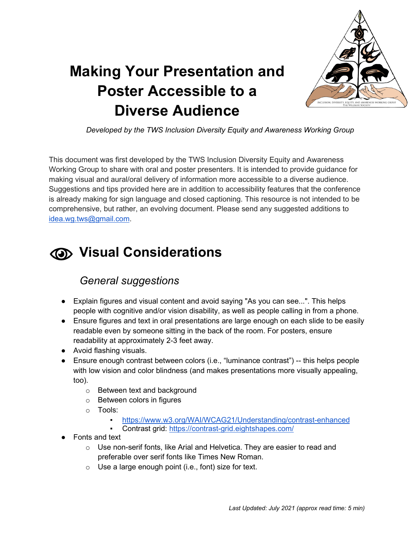

# **Making Your Presentation and Poster Accessible to a Diverse Audience**

*Developed by the TWS Inclusion Diversity Equity and Awareness Working Group*

This document was first developed by the TWS Inclusion Diversity Equity and Awareness Working Group to share with oral and poster presenters. It is intended to provide guidance for making visual and aural/oral delivery of information more accessible to a diverse audience. Suggestions and tips provided here are in addition to accessibility features that the conference is already making for sign language and closed captioning. This resource is not intended to be comprehensive, but rather, an evolving document. Please send any suggested additions to [idea.wg.tws@gmail.com.](mailto:idea.wg.tws@gmail.com)

# **Visual Considerations**

### *General suggestions*

- Explain figures and visual content and avoid saying "As you can see...". This helps people with cognitive and/or vision disability, as well as people calling in from a phone.
- Ensure figures and text in oral presentations are large enough on each slide to be easily readable even by someone sitting in the back of the room. For posters, ensure readability at approximately 2-3 feet away.
- Avoid flashing visuals.
- Ensure enough contrast between colors (i.e., "luminance contrast") -- this helps people with low vision and color blindness (and makes presentations more visually appealing, too).
	- o Between text and background
	- o Between colors in figures
	- o Tools:
		- <https://www.w3.org/WAI/WCAG21/Understanding/contrast-enhanced>
		- Contrast grid:<https://contrast-grid.eightshapes.com/>
- Fonts and text
	- o Use non-serif fonts, like Arial and Helvetica. They are easier to read and preferable over serif fonts like Times New Roman.
	- $\circ$  Use a large enough point (i.e., font) size for text.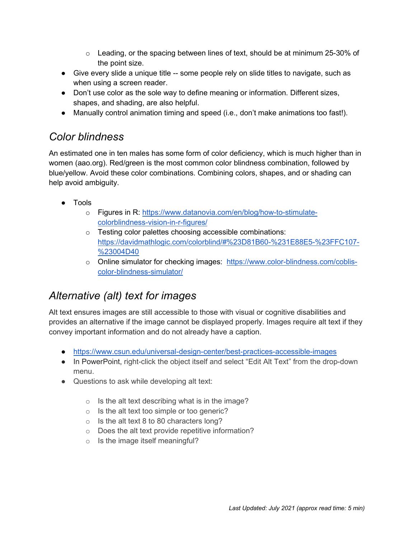- $\circ$  Leading, or the spacing between lines of text, should be at minimum 25-30% of the point size.
- Give every slide a unique title -- some people rely on slide titles to navigate, such as when using a screen reader.
- Don't use color as the sole way to define meaning or information. Different sizes, shapes, and shading, are also helpful.
- Manually control animation timing and speed (i.e., don't make animations too fast!).

#### *Color blindness*

An estimated one in ten males has some form of color deficiency, which is much higher than in women (aao.org). Red/green is the most common color blindness combination, followed by blue/yellow. Avoid these color combinations. Combining colors, shapes, and or shading can help avoid ambiguity.

- Tools
	- o Figures in R: [https://www.datanovia.com/en/blog/how-to-stimulate](https://www.datanovia.com/en/blog/how-to-stimulate-colorblindness-vision-in-r-figures/)[colorblindness-vision-in-r-figures/](https://www.datanovia.com/en/blog/how-to-stimulate-colorblindness-vision-in-r-figures/)
	- o Testing color palettes choosing accessible combinations: [https://davidmathlogic.com/colorblind/#%23D81B60-%231E88E5-%23FFC107-](https://davidmathlogic.com/colorblind/#%23D81B60-%231E88E5-%23FFC107-%23004D40) [%23004D40](https://davidmathlogic.com/colorblind/#%23D81B60-%231E88E5-%23FFC107-%23004D40)
	- o Online simulator for checking images: [https://www.color-blindness.com/coblis](https://www.color-blindness.com/coblis-color-blindness-simulator/)[color-blindness-simulator/](https://www.color-blindness.com/coblis-color-blindness-simulator/)

### *Alternative (alt) text for images*

Alt text ensures images are still accessible to those with visual or cognitive disabilities and provides an alternative if the image cannot be displayed properly. Images require alt text if they convey important information and do not already have a caption.

- <https://www.csun.edu/universal-design-center/best-practices-accessible-images>
- In PowerPoint, right-click the object itself and select "Edit Alt Text" from the drop-down menu.
- Questions to ask while developing alt text:
	- $\circ$  Is the alt text describing what is in the image?
	- o Is the alt text too simple or too generic?
	- $\circ$  Is the alt text 8 to 80 characters long?
	- o Does the alt text provide repetitive information?
	- $\circ$  Is the image itself meaningful?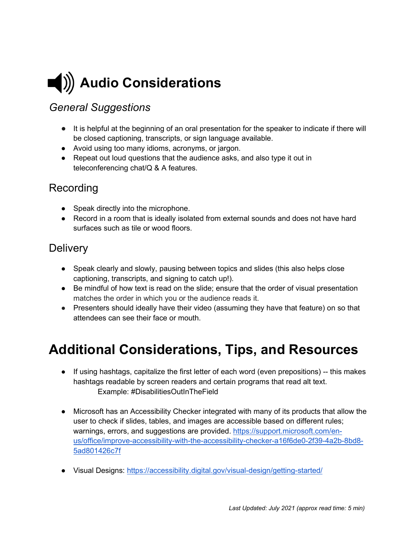

### *General Suggestions*

- It is helpful at the beginning of an oral presentation for the speaker to indicate if there will be closed captioning, transcripts, or sign language available.
- Avoid using too many idioms, acronyms, or jargon.
- Repeat out loud questions that the audience asks, and also type it out in teleconferencing chat/Q & A features.

#### Recording

- Speak directly into the microphone.
- Record in a room that is ideally isolated from external sounds and does not have hard surfaces such as tile or wood floors.

#### **Delivery**

- Speak clearly and slowly, pausing between topics and slides (this also helps close captioning, transcripts, and signing to catch up!).
- Be mindful of how text is read on the slide; ensure that the order of visual presentation matches the order in which you or the audience reads it.
- Presenters should ideally have their video (assuming they have that feature) on so that attendees can see their face or mouth.

## **Additional Considerations, Tips, and Resources**

- If using hashtags, capitalize the first letter of each word (even prepositions) -- this makes hashtags readable by screen readers and certain programs that read alt text. Example: #DisabilitiesOutInTheField
- Microsoft has an Accessibility Checker integrated with many of its products that allow the user to check if slides, tables, and images are accessible based on different rules; warnings, errors, and suggestions are provided. [https://support.microsoft.com/en](https://support.microsoft.com/en-us/office/improve-accessibility-with-the-accessibility-checker-a16f6de0-2f39-4a2b-8bd8-5ad801426c7f)[us/office/improve-accessibility-with-the-accessibility-checker-a16f6de0-2f39-4a2b-8bd8-](https://support.microsoft.com/en-us/office/improve-accessibility-with-the-accessibility-checker-a16f6de0-2f39-4a2b-8bd8-5ad801426c7f) [5ad801426c7f](https://support.microsoft.com/en-us/office/improve-accessibility-with-the-accessibility-checker-a16f6de0-2f39-4a2b-8bd8-5ad801426c7f)
- [Visual Designs: https://accessibility.digital.gov/visual-design/getting-started/](https://accessibility.digital.gov/visual-design/getting-started/)